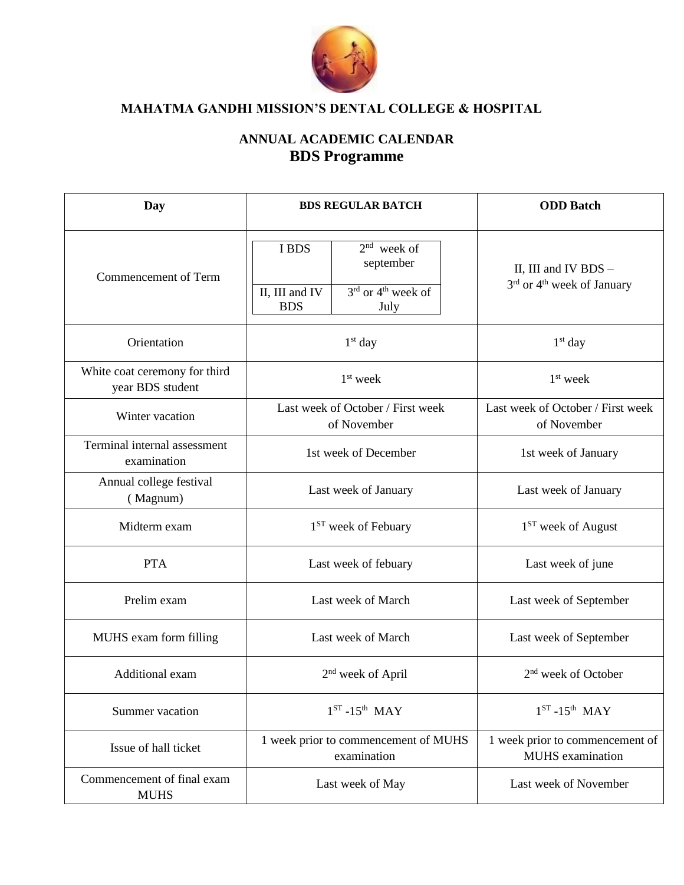

## **ANNUAL ACADEMIC CALENDAR BDS Programme**

| Day                                               | <b>BDS REGULAR BATCH</b>                                                                                        | <b>ODD</b> Batch                                                             |
|---------------------------------------------------|-----------------------------------------------------------------------------------------------------------------|------------------------------------------------------------------------------|
| Commencement of Term                              | $2nd$ week of<br>I BDS<br>september<br>$3rd$ or 4 <sup>th</sup> week of<br>II, III and IV<br><b>BDS</b><br>July | II, III and IV BDS $-$<br>3 <sup>rd</sup> or 4 <sup>th</sup> week of January |
| Orientation                                       | $1st$ day                                                                                                       | $1st$ day                                                                    |
| White coat ceremony for third<br>year BDS student | $1st$ week                                                                                                      | $1st$ week                                                                   |
| Winter vacation                                   | Last week of October / First week<br>of November                                                                | Last week of October / First week<br>of November                             |
| Terminal internal assessment<br>examination       | 1st week of December                                                                                            | 1st week of January                                                          |
| Annual college festival<br>(Magnum)               | Last week of January                                                                                            | Last week of January                                                         |
| Midterm exam                                      | 1 <sup>ST</sup> week of Febuary                                                                                 | 1 <sup>ST</sup> week of August                                               |
| <b>PTA</b>                                        | Last week of febuary                                                                                            | Last week of june                                                            |
| Prelim exam                                       | Last week of March                                                                                              | Last week of September                                                       |
| MUHS exam form filling                            | Last week of March                                                                                              | Last week of September                                                       |
| Additional exam                                   | $2nd$ week of April                                                                                             | 2 <sup>nd</sup> week of October                                              |
| Summer vacation                                   | $1ST - 15th$ MAY                                                                                                | $1ST - 15th$ MAY                                                             |
| Issue of hall ticket                              | 1 week prior to commencement of MUHS<br>examination                                                             | 1 week prior to commencement of<br><b>MUHS</b> examination                   |
| Commencement of final exam<br><b>MUHS</b>         | Last week of May                                                                                                | Last week of November                                                        |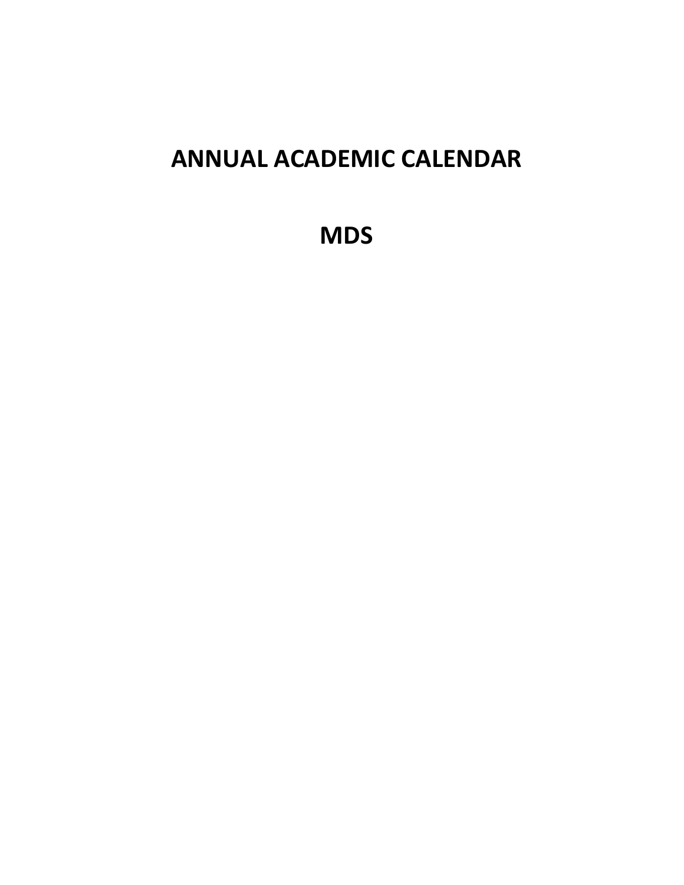# **ANNUAL ACADEMIC CALENDAR**

**MDS**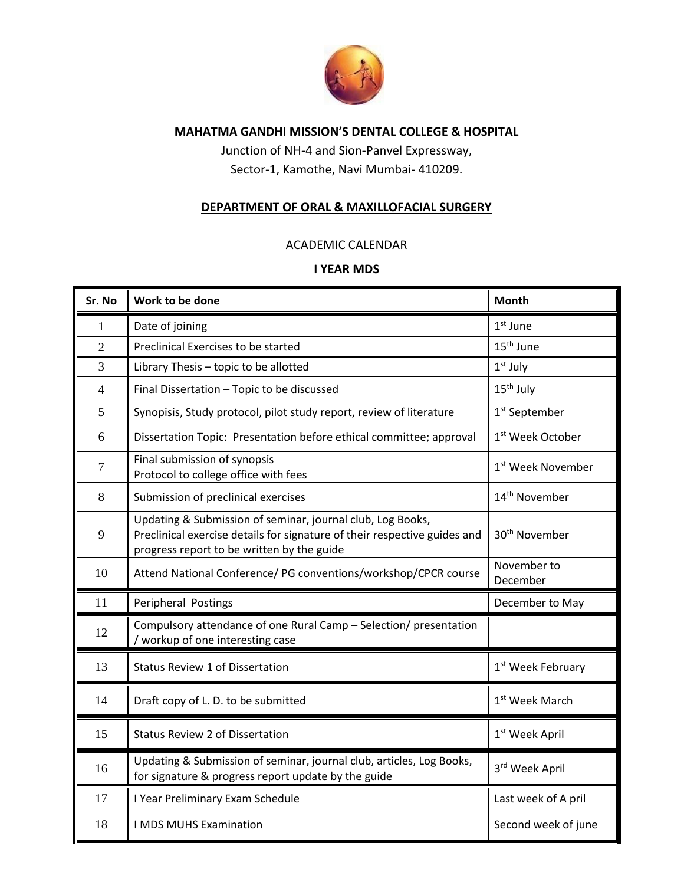

Junction of NH-4 and Sion-Panvel Expressway, Sector-1, Kamothe, Navi Mumbai- 410209.

#### **DEPARTMENT OF ORAL & MAXILLOFACIAL SURGERY**

#### ACADEMIC CALENDAR

| Sr. No         | Work to be done                                                                                                                                                                       | <b>Month</b>                  |
|----------------|---------------------------------------------------------------------------------------------------------------------------------------------------------------------------------------|-------------------------------|
| 1              | Date of joining                                                                                                                                                                       | $1st$ June                    |
| $\overline{2}$ | Preclinical Exercises to be started                                                                                                                                                   | 15 <sup>th</sup> June         |
| 3              | Library Thesis - topic to be allotted                                                                                                                                                 | $1st$ July                    |
| $\overline{4}$ | Final Dissertation - Topic to be discussed                                                                                                                                            | 15 <sup>th</sup> July         |
| 5              | Synopisis, Study protocol, pilot study report, review of literature                                                                                                                   | 1 <sup>st</sup> September     |
| 6              | Dissertation Topic: Presentation before ethical committee; approval                                                                                                                   | 1 <sup>st</sup> Week October  |
| $\overline{7}$ | Final submission of synopsis<br>Protocol to college office with fees                                                                                                                  | 1 <sup>st</sup> Week November |
| 8              | Submission of preclinical exercises                                                                                                                                                   | 14 <sup>th</sup> November     |
| 9              | Updating & Submission of seminar, journal club, Log Books,<br>Preclinical exercise details for signature of their respective guides and<br>progress report to be written by the guide | 30 <sup>th</sup> November     |
| 10             | Attend National Conference/ PG conventions/workshop/CPCR course                                                                                                                       | November to<br>December       |
| 11             | Peripheral Postings                                                                                                                                                                   | December to May               |
| 12             | Compulsory attendance of one Rural Camp - Selection/ presentation<br>/ workup of one interesting case                                                                                 |                               |
| 13             | <b>Status Review 1 of Dissertation</b>                                                                                                                                                | 1 <sup>st</sup> Week February |
| 14             | Draft copy of L. D. to be submitted                                                                                                                                                   | 1 <sup>st</sup> Week March    |
| 15             | <b>Status Review 2 of Dissertation</b>                                                                                                                                                | 1 <sup>st</sup> Week April    |
| 16             | Updating & Submission of seminar, journal club, articles, Log Books,<br>for signature & progress report update by the guide                                                           | 3rd Week April                |
| 17             | I Year Preliminary Exam Schedule                                                                                                                                                      | Last week of A pril           |
| 18             | I MDS MUHS Examination                                                                                                                                                                | Second week of june           |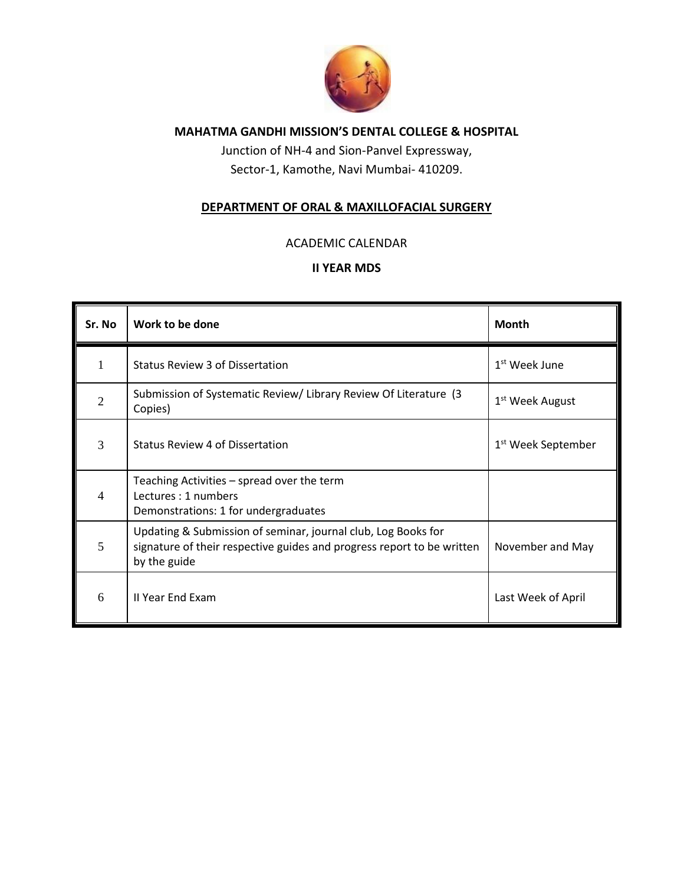

Junction of NH-4 and Sion-Panvel Expressway, Sector-1, Kamothe, Navi Mumbai- 410209.

#### **DEPARTMENT OF ORAL & MAXILLOFACIAL SURGERY**

#### ACADEMIC CALENDAR

| Sr. No         | Work to be done                                                                                                                                         | <b>Month</b>                   |
|----------------|---------------------------------------------------------------------------------------------------------------------------------------------------------|--------------------------------|
|                | <b>Status Review 3 of Dissertation</b>                                                                                                                  | 1 <sup>st</sup> Week June      |
| $\mathfrak{D}$ | Submission of Systematic Review/Library Review Of Literature (3)<br>Copies)                                                                             | 1 <sup>st</sup> Week August    |
| 3              | Status Review 4 of Dissertation                                                                                                                         | 1 <sup>st</sup> Week September |
| 4              | Teaching Activities – spread over the term<br>Lectures: 1 numbers<br>Demonstrations: 1 for undergraduates                                               |                                |
| 5              | Updating & Submission of seminar, journal club, Log Books for<br>signature of their respective guides and progress report to be written<br>by the guide | November and May               |
| 6              | II Year End Exam                                                                                                                                        | Last Week of April             |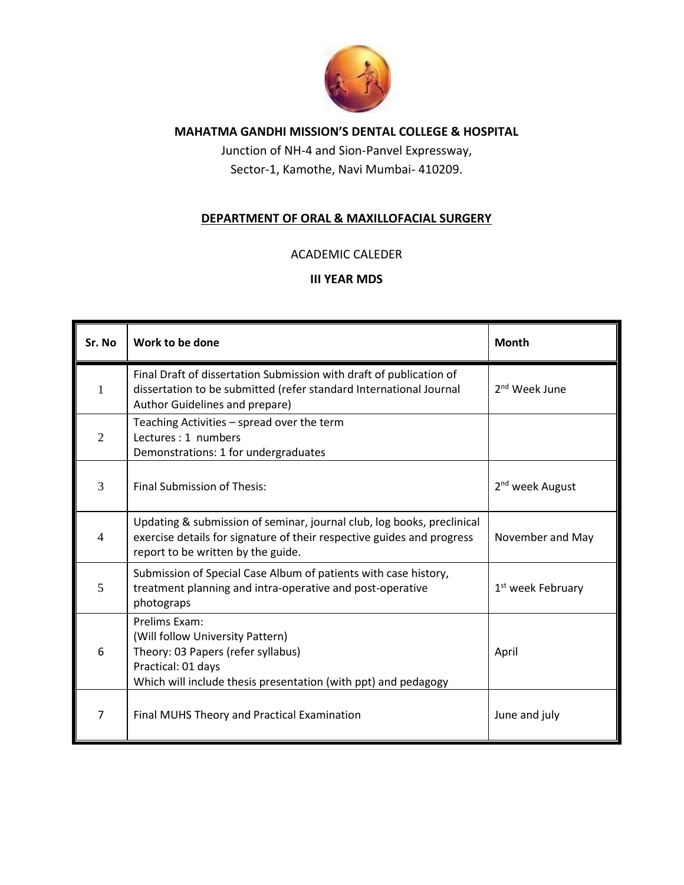

Junction of NH-4 and Sion-Panvel Expressway, Sector-1, Kamothe, Navi Mumbai- 410209.

#### **DEPARTMENT OF ORAL & MAXILLOFACIAL SURGERY**

#### ACADEMIC CALEDER

| Sr. No         | Work to be done                                                                                                                                                                        | Month                         |
|----------------|----------------------------------------------------------------------------------------------------------------------------------------------------------------------------------------|-------------------------------|
| 1              | Final Draft of dissertation Submission with draft of publication of<br>dissertation to be submitted (refer standard International Journal<br>Author Guidelines and prepare)            | 2 <sup>nd</sup> Week June     |
| $\overline{2}$ | Teaching Activities - spread over the term<br>Lectures: 1 numbers<br>Demonstrations: 1 for undergraduates                                                                              |                               |
| 3              | Final Submission of Thesis:                                                                                                                                                            | 2 <sup>nd</sup> week August   |
| $\overline{4}$ | Updating & submission of seminar, journal club, log books, preclinical<br>exercise details for signature of their respective guides and progress<br>report to be written by the guide. | November and May              |
| 5              | Submission of Special Case Album of patients with case history,<br>treatment planning and intra-operative and post-operative<br>photograps                                             | 1 <sup>st</sup> week February |
| 6              | Prelims Exam:<br>(Will follow University Pattern)<br>Theory: 03 Papers (refer syllabus)<br>Practical: 01 days<br>Which will include thesis presentation (with ppt) and pedagogy        | April                         |
| 7              | Final MUHS Theory and Practical Examination                                                                                                                                            | June and july                 |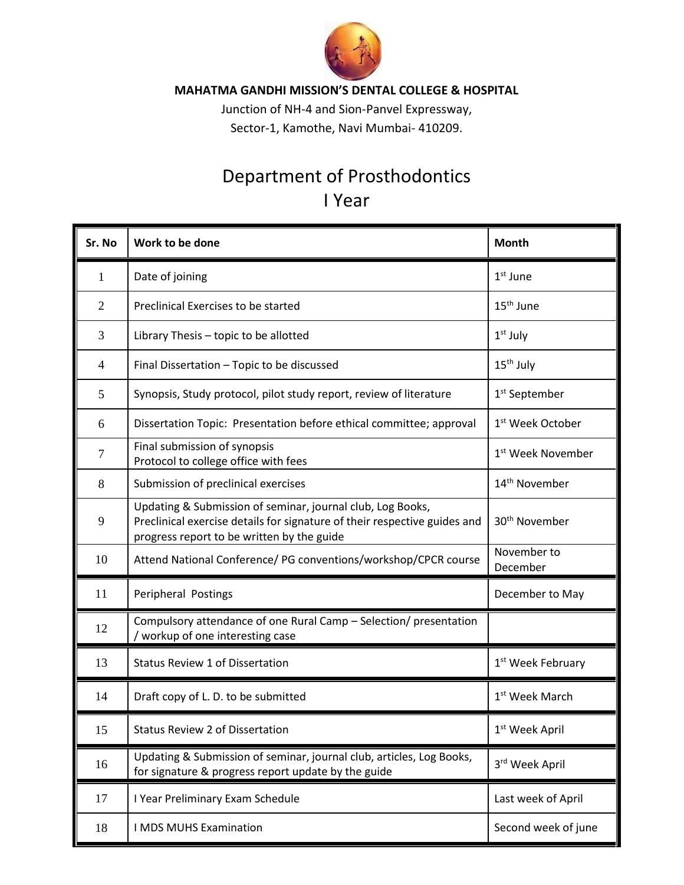

Junction of NH-4 and Sion-Panvel Expressway, Sector-1, Kamothe, Navi Mumbai- 410209.

## Department of Prosthodontics I Year

| Sr. No         | Work to be done                                                                                                                                                                       | <b>Month</b>                  |
|----------------|---------------------------------------------------------------------------------------------------------------------------------------------------------------------------------------|-------------------------------|
| 1              | Date of joining                                                                                                                                                                       | $1st$ June                    |
| $\overline{2}$ | Preclinical Exercises to be started                                                                                                                                                   | 15 <sup>th</sup> June         |
| 3              | Library Thesis - topic to be allotted                                                                                                                                                 | $1st$ July                    |
| 4              | Final Dissertation - Topic to be discussed                                                                                                                                            | 15 <sup>th</sup> July         |
| 5              | Synopsis, Study protocol, pilot study report, review of literature                                                                                                                    | 1 <sup>st</sup> September     |
| 6              | Dissertation Topic: Presentation before ethical committee; approval                                                                                                                   | 1 <sup>st</sup> Week October  |
| $\overline{7}$ | Final submission of synopsis<br>Protocol to college office with fees                                                                                                                  | 1 <sup>st</sup> Week November |
| 8              | Submission of preclinical exercises                                                                                                                                                   | 14 <sup>th</sup> November     |
| 9              | Updating & Submission of seminar, journal club, Log Books,<br>Preclinical exercise details for signature of their respective guides and<br>progress report to be written by the guide | 30 <sup>th</sup> November     |
| 10             | Attend National Conference/ PG conventions/workshop/CPCR course                                                                                                                       | November to<br>December       |
| 11             | Peripheral Postings                                                                                                                                                                   | December to May               |
| 12             | Compulsory attendance of one Rural Camp - Selection/ presentation<br>/ workup of one interesting case                                                                                 |                               |
| 13             | <b>Status Review 1 of Dissertation</b>                                                                                                                                                | 1 <sup>st</sup> Week February |
| 14             | Draft copy of L. D. to be submitted                                                                                                                                                   | 1 <sup>st</sup> Week March    |
| 15             | Status Review 2 of Dissertation                                                                                                                                                       | 1 <sup>st</sup> Week April    |
| 16             | Updating & Submission of seminar, journal club, articles, Log Books,<br>for signature & progress report update by the guide                                                           | 3rd Week April                |
| 17             | I Year Preliminary Exam Schedule                                                                                                                                                      | Last week of April            |
| 18             | I MDS MUHS Examination                                                                                                                                                                | Second week of june           |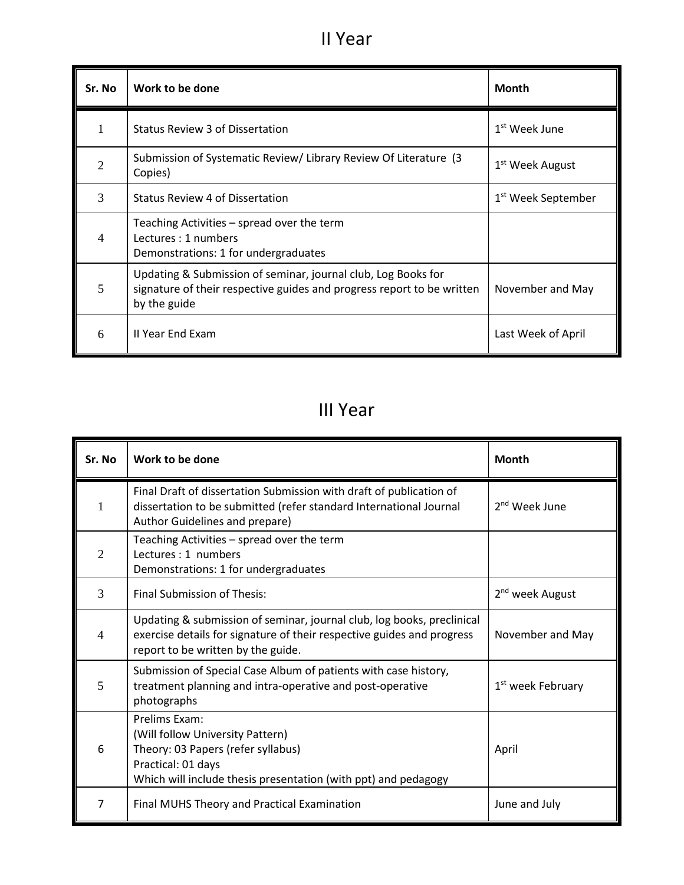## II Year

| Sr. No                | Work to be done                                                                                                                                         | <b>Month</b>                   |
|-----------------------|---------------------------------------------------------------------------------------------------------------------------------------------------------|--------------------------------|
|                       | <b>Status Review 3 of Dissertation</b>                                                                                                                  | $1st$ Week June                |
| $\mathcal{D}_{\cdot}$ | Submission of Systematic Review/Library Review Of Literature (3<br>Copies)                                                                              | 1 <sup>st</sup> Week August    |
| 3                     | Status Review 4 of Dissertation                                                                                                                         | 1 <sup>st</sup> Week September |
| 4                     | Teaching Activities – spread over the term<br>Lectures: 1 numbers<br>Demonstrations: 1 for undergraduates                                               |                                |
| 5                     | Updating & Submission of seminar, journal club, Log Books for<br>signature of their respective guides and progress report to be written<br>by the guide | November and May               |
| 6                     | II Year End Exam                                                                                                                                        | Last Week of April             |

## III Year

| Sr. No         | Work to be done                                                                                                                                                                        | <b>Month</b>                  |
|----------------|----------------------------------------------------------------------------------------------------------------------------------------------------------------------------------------|-------------------------------|
| 1              | Final Draft of dissertation Submission with draft of publication of<br>dissertation to be submitted (refer standard International Journal<br>Author Guidelines and prepare)            | 2 <sup>nd</sup> Week June     |
| $\overline{2}$ | Teaching Activities - spread over the term<br>Lectures: 1 numbers<br>Demonstrations: 1 for undergraduates                                                                              |                               |
| 3              | <b>Final Submission of Thesis:</b>                                                                                                                                                     | 2 <sup>nd</sup> week August   |
| $\overline{4}$ | Updating & submission of seminar, journal club, log books, preclinical<br>exercise details for signature of their respective guides and progress<br>report to be written by the guide. | November and May              |
| 5              | Submission of Special Case Album of patients with case history,<br>treatment planning and intra-operative and post-operative<br>photographs                                            | 1 <sup>st</sup> week February |
| 6              | Prelims Exam:<br>(Will follow University Pattern)<br>Theory: 03 Papers (refer syllabus)<br>Practical: 01 days<br>Which will include thesis presentation (with ppt) and pedagogy        | April                         |
| 7              | Final MUHS Theory and Practical Examination                                                                                                                                            | June and July                 |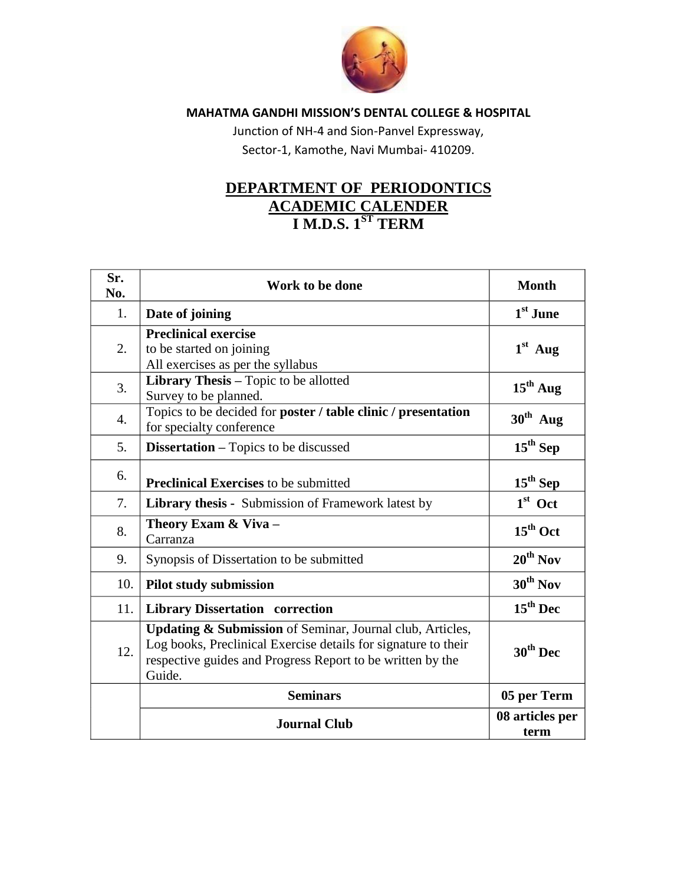

Junction of NH-4 and Sion-Panvel Expressway, Sector-1, Kamothe, Navi Mumbai- 410209.

### **DEPARTMENT OF PERIODONTICS ACADEMIC CALENDER I M.D.S. 1ST TERM**

| Sr.<br>No.       | Work to be done                                                                                                                                                                                                | <b>Month</b>            |
|------------------|----------------------------------------------------------------------------------------------------------------------------------------------------------------------------------------------------------------|-------------------------|
| 1.               | Date of joining                                                                                                                                                                                                | 1 <sup>st</sup> June    |
| 2.               | <b>Preclinical exercise</b><br>to be started on joining<br>All exercises as per the syllabus                                                                                                                   | $1st$ Aug               |
| 3.               | Library Thesis - Topic to be allotted<br>Survey to be planned.                                                                                                                                                 | $15th$ Aug              |
| $\overline{4}$ . | Topics to be decided for poster / table clinic / presentation<br>for specialty conference                                                                                                                      | $30th$ Aug              |
| 5.               | <b>Dissertation</b> – Topics to be discussed                                                                                                                                                                   | $15th$ Sep              |
| 6.               | <b>Preclinical Exercises to be submitted</b>                                                                                                                                                                   | $15th$ Sep              |
| 7.               | <b>Library thesis -</b> Submission of Framework latest by                                                                                                                                                      | $1st$ Oct               |
| 8.               | Theory Exam & Viva -<br>Carranza                                                                                                                                                                               | $15th$ Oct              |
| 9.               | Synopsis of Dissertation to be submitted                                                                                                                                                                       | $20^{th}$ Nov           |
| 10.              | <b>Pilot study submission</b>                                                                                                                                                                                  | $30th$ Nov              |
| 11.              | <b>Library Dissertation correction</b>                                                                                                                                                                         | $15th$ Dec              |
| 12.              | <b>Updating &amp; Submission</b> of Seminar, Journal club, Articles,<br>Log books, Preclinical Exercise details for signature to their<br>respective guides and Progress Report to be written by the<br>Guide. | $30th$ Dec              |
|                  | <b>Seminars</b>                                                                                                                                                                                                | 05 per Term             |
|                  | <b>Journal Club</b>                                                                                                                                                                                            | 08 articles per<br>term |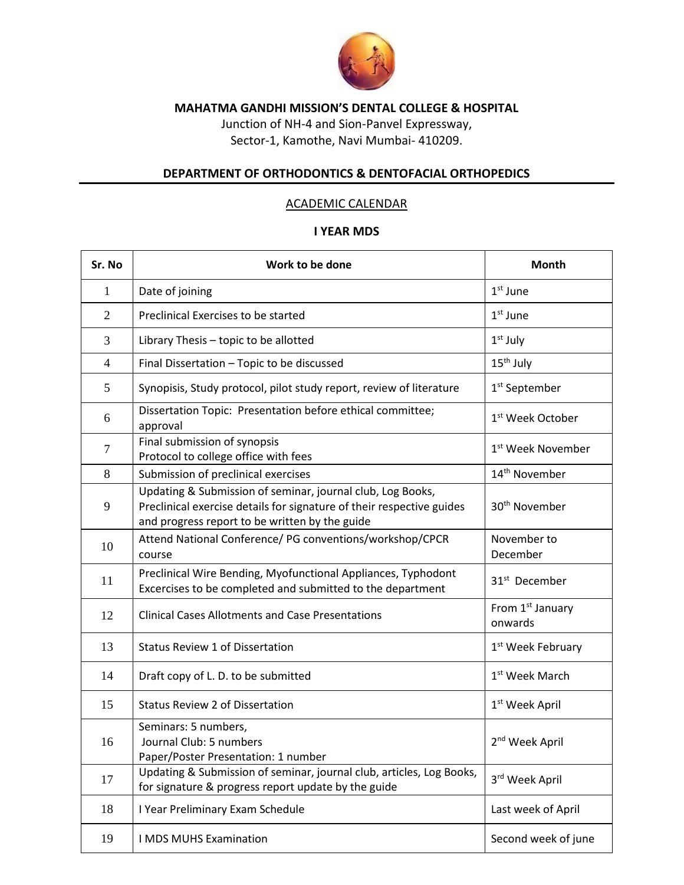

Junction of NH-4 and Sion-Panvel Expressway, Sector-1, Kamothe, Navi Mumbai- 410209.

#### **DEPARTMENT OF ORTHODONTICS & DENTOFACIAL ORTHOPEDICS**

#### ACADEMIC CALENDAR

| Sr. No           | Work to be done                                                                                                                                                                       | Month                                   |
|------------------|---------------------------------------------------------------------------------------------------------------------------------------------------------------------------------------|-----------------------------------------|
| 1                | Date of joining                                                                                                                                                                       | $1st$ June                              |
| $\overline{2}$   | Preclinical Exercises to be started                                                                                                                                                   | $1st$ June                              |
| 3                | Library Thesis - topic to be allotted                                                                                                                                                 | $1st$ July                              |
| $\overline{4}$   | Final Dissertation - Topic to be discussed                                                                                                                                            | $15th$ July                             |
| 5                | Synopisis, Study protocol, pilot study report, review of literature                                                                                                                   | 1 <sup>st</sup> September               |
| 6                | Dissertation Topic: Presentation before ethical committee;<br>approval                                                                                                                | 1 <sup>st</sup> Week October            |
| $\boldsymbol{7}$ | Final submission of synopsis<br>Protocol to college office with fees                                                                                                                  | 1 <sup>st</sup> Week November           |
| 8                | Submission of preclinical exercises                                                                                                                                                   | 14 <sup>th</sup> November               |
| 9                | Updating & Submission of seminar, journal club, Log Books,<br>Preclinical exercise details for signature of their respective guides<br>and progress report to be written by the guide | 30 <sup>th</sup> November               |
| 10               | Attend National Conference/ PG conventions/workshop/CPCR<br>course                                                                                                                    | November to<br>December                 |
| 11               | Preclinical Wire Bending, Myofunctional Appliances, Typhodont<br>Excercises to be completed and submitted to the department                                                           | 31 <sup>st</sup> December               |
| 12               | <b>Clinical Cases Allotments and Case Presentations</b>                                                                                                                               | From 1 <sup>st</sup> January<br>onwards |
| 13               | <b>Status Review 1 of Dissertation</b>                                                                                                                                                | 1 <sup>st</sup> Week February           |
| 14               | Draft copy of L. D. to be submitted                                                                                                                                                   | 1 <sup>st</sup> Week March              |
| 15               | <b>Status Review 2 of Dissertation</b>                                                                                                                                                | 1 <sup>st</sup> Week April              |
| 16               | Seminars: 5 numbers,<br>Journal Club: 5 numbers<br>Paper/Poster Presentation: 1 number                                                                                                | 2 <sup>nd</sup> Week April              |
| 17               | Updating & Submission of seminar, journal club, articles, Log Books,<br>for signature & progress report update by the guide                                                           | 3rd Week April                          |
| 18               | I Year Preliminary Exam Schedule                                                                                                                                                      | Last week of April                      |
| 19               | I MDS MUHS Examination                                                                                                                                                                | Second week of june                     |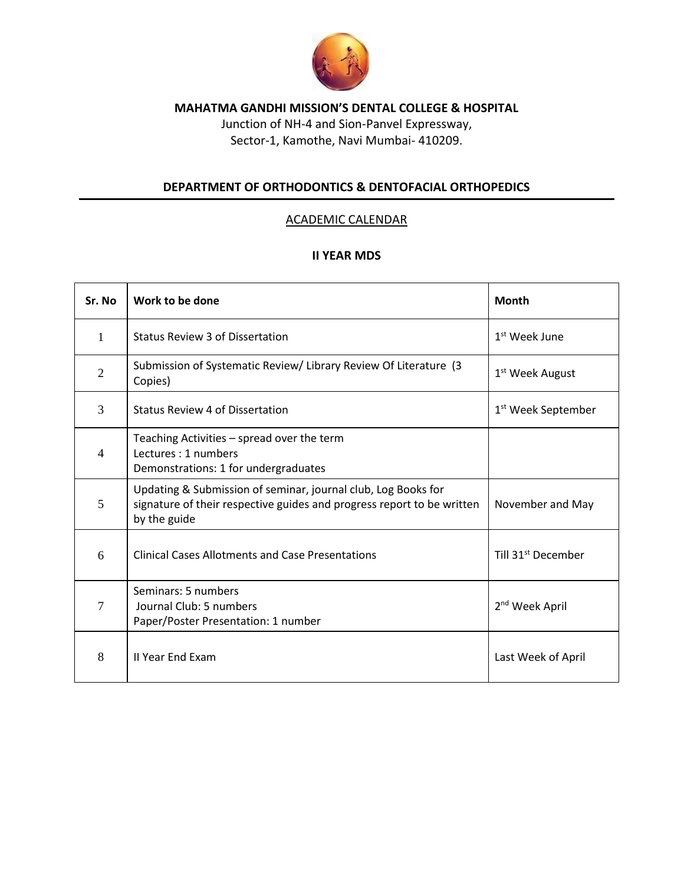

Junction of NH-4 and Sion-Panvel Expressway, Sector-1, Kamothe, Navi Mumbai- 410209.

#### **DEPARTMENT OF ORTHODONTICS & DENTOFACIAL ORTHOPEDICS**

#### ACADEMIC CALENDAR

| Sr. No         | Work to be done                                                                                                                                         | <b>Month</b>                   |
|----------------|---------------------------------------------------------------------------------------------------------------------------------------------------------|--------------------------------|
| $\mathbf{1}$   | Status Review 3 of Dissertation                                                                                                                         | 1 <sup>st</sup> Week June      |
| 2              | Submission of Systematic Review/ Library Review Of Literature (3<br>Copies)                                                                             | 1 <sup>st</sup> Week August    |
| 3              | <b>Status Review 4 of Dissertation</b>                                                                                                                  | 1 <sup>st</sup> Week September |
| $\overline{4}$ | Teaching Activities – spread over the term<br>Lectures: 1 numbers<br>Demonstrations: 1 for undergraduates                                               |                                |
| 5              | Updating & Submission of seminar, journal club, Log Books for<br>signature of their respective guides and progress report to be written<br>by the guide | November and May               |
| 6              | <b>Clinical Cases Allotments and Case Presentations</b>                                                                                                 | Till 31 <sup>st</sup> December |
| $\overline{7}$ | Seminars: 5 numbers<br>Journal Club: 5 numbers<br>Paper/Poster Presentation: 1 number                                                                   | 2 <sup>nd</sup> Week April     |
| 8              | <b>II Year End Exam</b>                                                                                                                                 | Last Week of April             |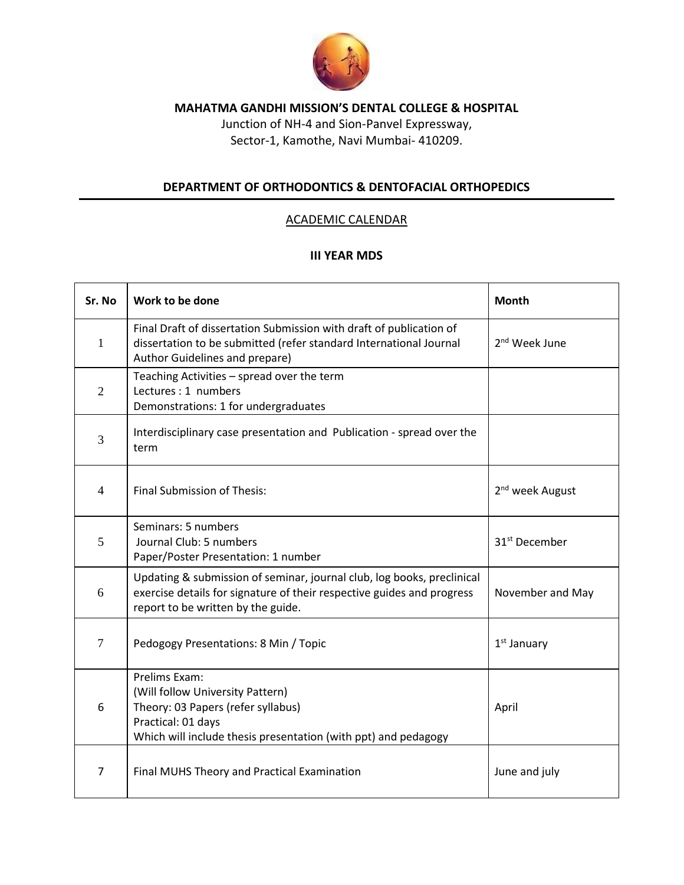

Junction of NH-4 and Sion-Panvel Expressway, Sector-1, Kamothe, Navi Mumbai- 410209.

#### **DEPARTMENT OF ORTHODONTICS & DENTOFACIAL ORTHOPEDICS**

#### ACADEMIC CALENDAR

| Sr. No         | Work to be done                                                                                                                                                                        | <b>Month</b>                |
|----------------|----------------------------------------------------------------------------------------------------------------------------------------------------------------------------------------|-----------------------------|
| $\mathbf{1}$   | Final Draft of dissertation Submission with draft of publication of<br>dissertation to be submitted (refer standard International Journal<br>Author Guidelines and prepare)            | 2 <sup>nd</sup> Week June   |
| $\overline{2}$ | Teaching Activities - spread over the term<br>Lectures: 1 numbers<br>Demonstrations: 1 for undergraduates                                                                              |                             |
| 3              | Interdisciplinary case presentation and Publication - spread over the<br>term                                                                                                          |                             |
| 4              | Final Submission of Thesis:                                                                                                                                                            | 2 <sup>nd</sup> week August |
| 5              | Seminars: 5 numbers<br>Journal Club: 5 numbers<br>Paper/Poster Presentation: 1 number                                                                                                  | 31 <sup>st</sup> December   |
| 6              | Updating & submission of seminar, journal club, log books, preclinical<br>exercise details for signature of their respective guides and progress<br>report to be written by the guide. | November and May            |
| $\overline{7}$ | Pedogogy Presentations: 8 Min / Topic                                                                                                                                                  | $1st$ January               |
| 6              | Prelims Exam:<br>(Will follow University Pattern)<br>Theory: 03 Papers (refer syllabus)<br>Practical: 01 days<br>Which will include thesis presentation (with ppt) and pedagogy        | April                       |
| $\overline{7}$ | Final MUHS Theory and Practical Examination                                                                                                                                            | June and july               |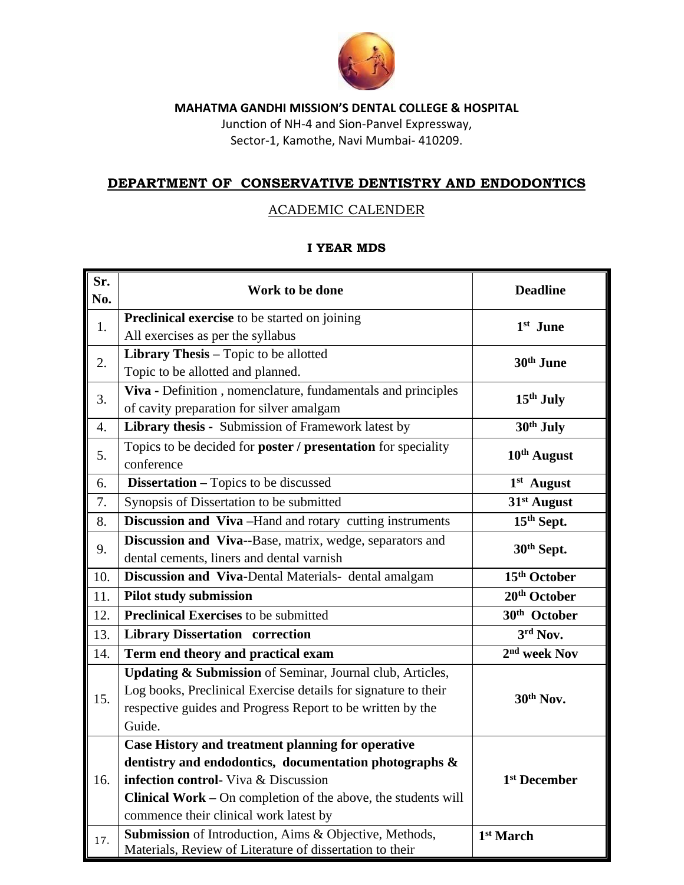

Junction of NH-4 and Sion-Panvel Expressway, Sector-1, Kamothe, Navi Mumbai- 410209.

#### **DEPARTMENT OF CONSERVATIVE DENTISTRY AND ENDODONTICS**

#### ACADEMIC CALENDER

| Sr.<br>No.       | Work to be done                                                             | <b>Deadline</b>          |
|------------------|-----------------------------------------------------------------------------|--------------------------|
| 1.               | Preclinical exercise to be started on joining                               | 1 <sup>st</sup> June     |
|                  | All exercises as per the syllabus                                           |                          |
| 2.               | Library Thesis - Topic to be allotted                                       | 30 <sup>th</sup> June    |
|                  | Topic to be allotted and planned.                                           |                          |
| 3.               | Viva - Definition, nomenclature, fundamentals and principles                | 15 <sup>th</sup> July    |
|                  | of cavity preparation for silver amalgam                                    |                          |
| $\overline{4}$ . | Library thesis - Submission of Framework latest by                          | 30th July                |
| 5.               | Topics to be decided for <b>poster</b> / <b>presentation</b> for speciality | $10th$ August            |
|                  | conference                                                                  |                          |
| 6.               | <b>Dissertation</b> – Topics to be discussed                                | 1st August               |
| 7.               | Synopsis of Dissertation to be submitted                                    | 31 <sup>st</sup> August  |
| 8.               | Discussion and Viva-Hand and rotary cutting instruments                     | 15th Sept.               |
| 9.               | Discussion and Viva--Base, matrix, wedge, separators and                    | 30th Sept.               |
|                  | dental cements, liners and dental varnish                                   |                          |
| 10.              | Discussion and Viva-Dental Materials- dental amalgam                        | 15 <sup>th</sup> October |
| 11.              | <b>Pilot study submission</b>                                               | 20th October             |
| 12.              | <b>Preclinical Exercises</b> to be submitted                                | 30 <sup>th</sup> October |
| 13.              | <b>Library Dissertation correction</b>                                      | 3rd Nov.                 |
| 14.              | Term end theory and practical exam                                          | 2 <sup>nd</sup> week Nov |
|                  | Updating & Submission of Seminar, Journal club, Articles,                   |                          |
| 15.              | Log books, Preclinical Exercise details for signature to their              | 30 <sup>th</sup> Nov.    |
|                  | respective guides and Progress Report to be written by the                  |                          |
|                  | Guide.                                                                      |                          |
|                  | Case History and treatment planning for operative                           |                          |
| 16.              | dentistry and endodontics, documentation photographs &                      |                          |
|                  | infection control- Viva & Discussion                                        | 1 <sup>st</sup> December |
|                  | Clinical Work - On completion of the above, the students will               |                          |
|                  | commence their clinical work latest by                                      |                          |
| 17.              | Submission of Introduction, Aims & Objective, Methods,                      | 1 <sup>st</sup> March    |
|                  | Materials, Review of Literature of dissertation to their                    |                          |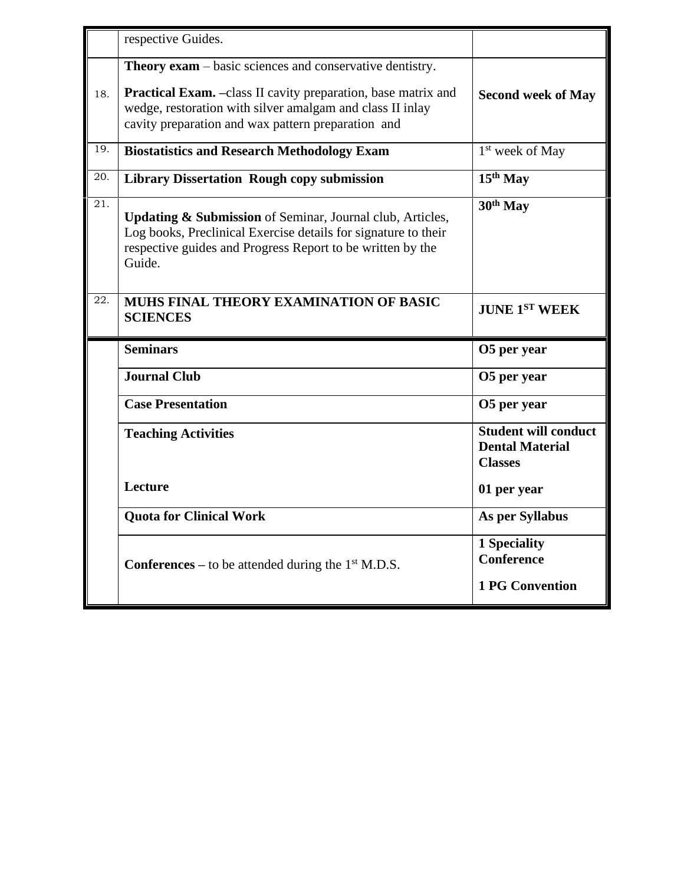|                   | respective Guides.                                                                                                                                                                                             |                                                                         |
|-------------------|----------------------------------------------------------------------------------------------------------------------------------------------------------------------------------------------------------------|-------------------------------------------------------------------------|
| 18.               | <b>Theory exam</b> – basic sciences and conservative dentistry.<br><b>Practical Exam.</b> -class II cavity preparation, base matrix and                                                                        | <b>Second week of May</b>                                               |
|                   | wedge, restoration with silver amalgam and class II inlay<br>cavity preparation and wax pattern preparation and                                                                                                |                                                                         |
| 19.               | <b>Biostatistics and Research Methodology Exam</b>                                                                                                                                                             | 1 <sup>st</sup> week of May                                             |
| 20.               | <b>Library Dissertation Rough copy submission</b>                                                                                                                                                              | $15th$ May                                                              |
| 21.               | <b>Updating &amp; Submission</b> of Seminar, Journal club, Articles,<br>Log books, Preclinical Exercise details for signature to their<br>respective guides and Progress Report to be written by the<br>Guide. | 30 <sup>th</sup> May                                                    |
| $\overline{22}$ . | MUHS FINAL THEORY EXAMINATION OF BASIC<br><b>SCIENCES</b>                                                                                                                                                      | <b>JUNE 1ST WEEK</b>                                                    |
|                   | <b>Seminars</b>                                                                                                                                                                                                | O5 per year                                                             |
|                   | <b>Journal Club</b>                                                                                                                                                                                            | O5 per year                                                             |
|                   | <b>Case Presentation</b>                                                                                                                                                                                       | O5 per year                                                             |
|                   | <b>Teaching Activities</b>                                                                                                                                                                                     | <b>Student will conduct</b><br><b>Dental Material</b><br><b>Classes</b> |
|                   | Lecture                                                                                                                                                                                                        | 01 per year                                                             |
|                   | <b>Quota for Clinical Work</b>                                                                                                                                                                                 | <b>As per Syllabus</b>                                                  |
|                   | <b>Conferences</b> – to be attended during the $1st$ M.D.S.                                                                                                                                                    | 1 Speciality<br><b>Conference</b>                                       |
|                   |                                                                                                                                                                                                                | <b>1 PG Convention</b>                                                  |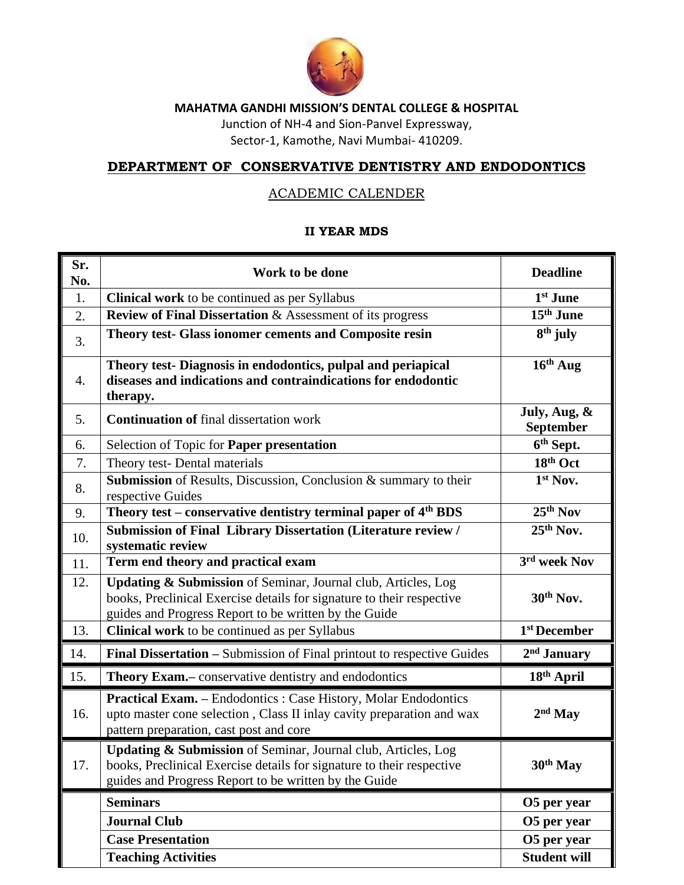

Junction of NH-4 and Sion-Panvel Expressway, Sector-1, Kamothe, Navi Mumbai- 410209.

## **DEPARTMENT OF CONSERVATIVE DENTISTRY AND ENDODONTICS**

### ACADEMIC CALENDER

| Sr.<br>No.       | Work to be done                                                                                                                                                                                            | <b>Deadline</b>           |
|------------------|------------------------------------------------------------------------------------------------------------------------------------------------------------------------------------------------------------|---------------------------|
| 1.               | <b>Clinical work</b> to be continued as per Syllabus                                                                                                                                                       | 1 <sup>st</sup> June      |
| 2.               | <b>Review of Final Dissertation &amp; Assessment of its progress</b>                                                                                                                                       | 15 <sup>th</sup> June     |
| 3.               | Theory test- Glass ionomer cements and Composite resin                                                                                                                                                     | $8th$ july                |
| $\overline{4}$ . | Theory test-Diagnosis in endodontics, pulpal and periapical<br>diseases and indications and contraindications for endodontic<br>therapy.                                                                   | $16th$ Aug                |
| 5.               | <b>Continuation of final dissertation work</b>                                                                                                                                                             | July, Aug, &<br>September |
| 6.               | Selection of Topic for Paper presentation                                                                                                                                                                  | 6 <sup>th</sup> Sept.     |
| 7.               | Theory test- Dental materials                                                                                                                                                                              | $18th$ Oct                |
| 8.               | Submission of Results, Discussion, Conclusion & summary to their<br>respective Guides                                                                                                                      | 1st Nov.                  |
| 9.               | Theory test – conservative dentistry terminal paper of $\overline{4^{th}}$ BDS                                                                                                                             | $25th$ Nov                |
| 10.              | Submission of Final Library Dissertation (Literature review /<br>systematic review                                                                                                                         | $25th$ Nov.               |
| 11.              | Term end theory and practical exam                                                                                                                                                                         | 3rd week Nov              |
| 12.              | Updating & Submission of Seminar, Journal club, Articles, Log<br>books, Preclinical Exercise details for signature to their respective<br>guides and Progress Report to be written by the Guide            | 30 <sup>th</sup> Nov.     |
| 13.              | Clinical work to be continued as per Syllabus                                                                                                                                                              | 1 <sup>st</sup> December  |
| 14.              | Final Dissertation - Submission of Final printout to respective Guides                                                                                                                                     | $2nd$ January             |
| 15.              | Theory Exam.- conservative dentistry and endodontics                                                                                                                                                       | 18 <sup>th</sup> April    |
| 16.              | Practical Exam. - Endodontics : Case History, Molar Endodontics<br>upto master cone selection, Class II inlay cavity preparation and wax<br>pattern preparation, cast post and core                        | $2nd$ May                 |
| 17.              | <b>Updating &amp; Submission</b> of Seminar, Journal club, Articles, Log<br>books, Preclinical Exercise details for signature to their respective<br>guides and Progress Report to be written by the Guide | 30 <sup>th</sup> May      |
|                  | <b>Seminars</b>                                                                                                                                                                                            | O5 per year               |
|                  | <b>Journal Club</b>                                                                                                                                                                                        | O5 per year               |
|                  | <b>Case Presentation</b>                                                                                                                                                                                   | O5 per year               |
|                  | <b>Teaching Activities</b>                                                                                                                                                                                 | <b>Student will</b>       |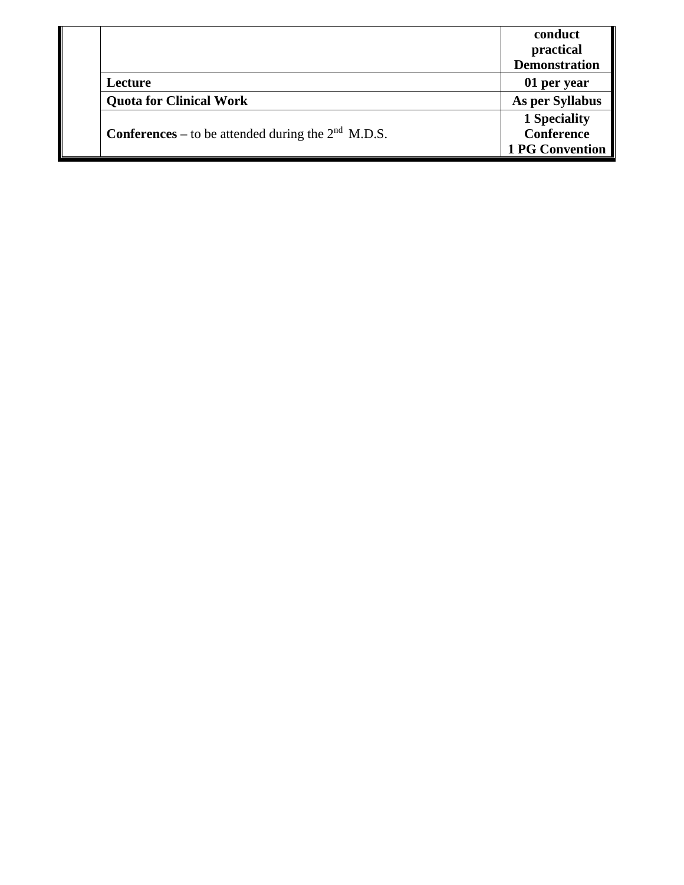|                                                             | conduct                |
|-------------------------------------------------------------|------------------------|
|                                                             | practical              |
|                                                             | <b>Demonstration</b>   |
| Lecture                                                     | 01 per year            |
| <b>Quota for Clinical Work</b>                              | As per Syllabus        |
| <b>Conferences</b> – to be attended during the $2nd$ M.D.S. | 1 Speciality           |
|                                                             | <b>Conference</b>      |
|                                                             | <b>1 PG Convention</b> |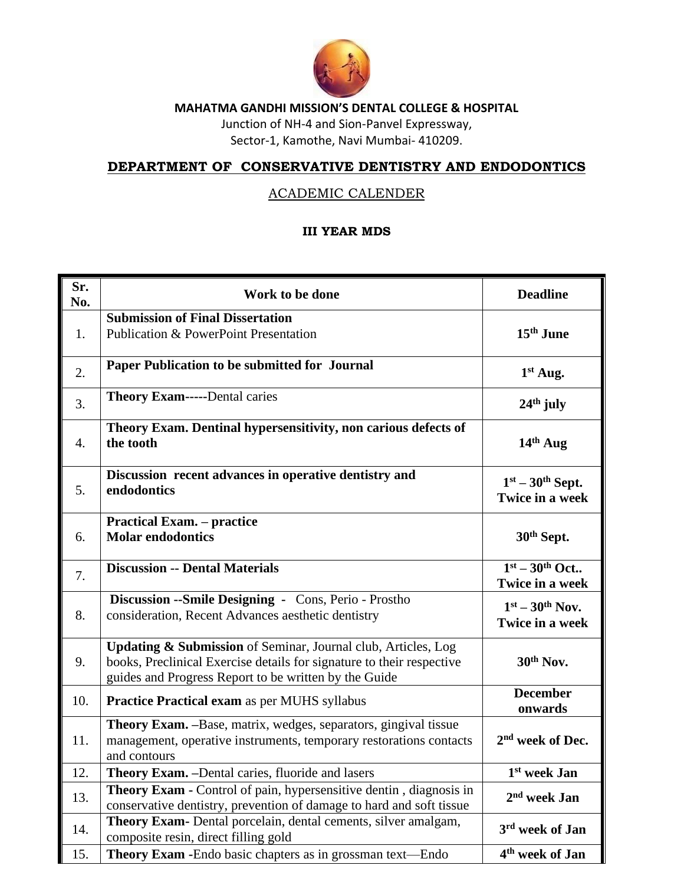

Junction of NH-4 and Sion-Panvel Expressway,

Sector-1, Kamothe, Navi Mumbai- 410209.

### **DEPARTMENT OF CONSERVATIVE DENTISTRY AND ENDODONTICS**

#### ACADEMIC CALENDER

| Sr.<br>No.       | Work to be done                                                                                                                                                                                            | <b>Deadline</b>                       |
|------------------|------------------------------------------------------------------------------------------------------------------------------------------------------------------------------------------------------------|---------------------------------------|
| 1.               | <b>Submission of Final Dissertation</b><br><b>Publication &amp; PowerPoint Presentation</b>                                                                                                                | 15 <sup>th</sup> June                 |
| 2.               | Paper Publication to be submitted for Journal                                                                                                                                                              | 1st Aug.                              |
| 3.               | <b>Theory Exam-----Dental caries</b>                                                                                                                                                                       | $24th$ july                           |
| $\overline{4}$ . | Theory Exam. Dentinal hypersensitivity, non carious defects of<br>the tooth                                                                                                                                | $14th$ Aug                            |
| 5.               | Discussion recent advances in operative dentistry and<br>endodontics                                                                                                                                       | $1st - 30th$ Sept.<br>Twice in a week |
| 6.               | <b>Practical Exam. – practice</b><br><b>Molar endodontics</b>                                                                                                                                              | 30 <sup>th</sup> Sept.                |
| 7.               | <b>Discussion -- Dental Materials</b>                                                                                                                                                                      | $1st - 30th$ Oct<br>Twice in a week   |
| 8.               | Discussion -- Smile Designing - Cons, Perio - Prostho<br>consideration, Recent Advances aesthetic dentistry                                                                                                | $1st - 30th$ Nov.<br>Twice in a week  |
| 9.               | <b>Updating &amp; Submission</b> of Seminar, Journal club, Articles, Log<br>books, Preclinical Exercise details for signature to their respective<br>guides and Progress Report to be written by the Guide | 30th Nov.                             |
| 10.              | Practice Practical exam as per MUHS syllabus                                                                                                                                                               | <b>December</b><br>onwards            |
| 11.              | Theory Exam. - Base, matrix, wedges, separators, gingival tissue<br>management, operative instruments, temporary restorations contacts<br>and contours                                                     | 2 <sup>nd</sup> week of Dec.          |
| 12.              | Theory Exam. - Dental caries, fluoride and lasers                                                                                                                                                          | 1 <sup>st</sup> week Jan              |
| 13.              | Theory Exam - Control of pain, hypersensitive dentin, diagnosis in<br>conservative dentistry, prevention of damage to hard and soft tissue                                                                 | 2 <sup>nd</sup> week Jan              |
| 14.              | Theory Exam- Dental porcelain, dental cements, silver amalgam,<br>composite resin, direct filling gold                                                                                                     | 3 <sup>rd</sup> week of Jan           |
| 15.              | Theory Exam - Endo basic chapters as in grossman text—Endo                                                                                                                                                 | 4 <sup>th</sup> week of Jan           |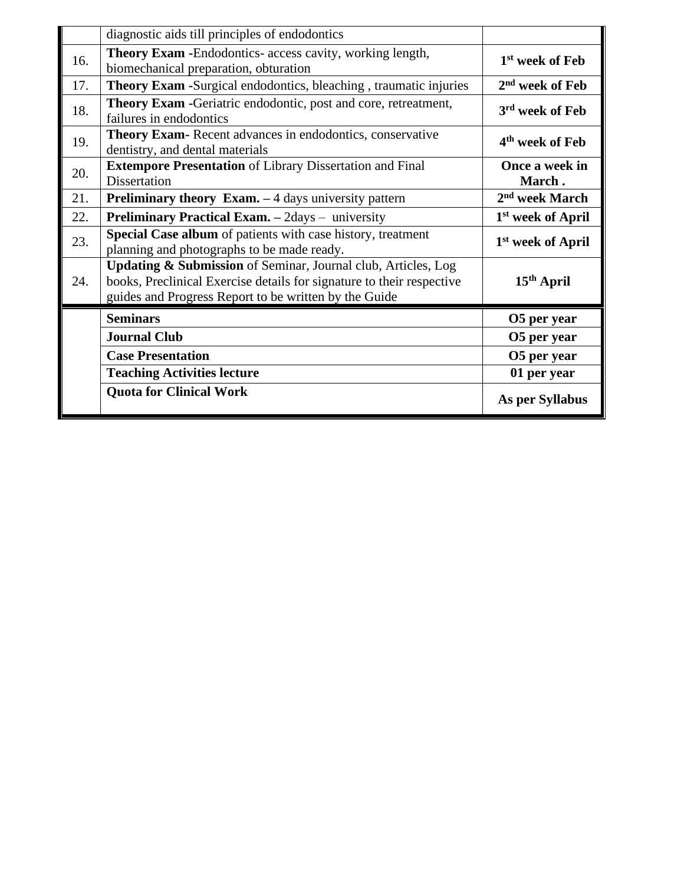|     | diagnostic aids till principles of endodontics                                                                                                                                                  |                               |
|-----|-------------------------------------------------------------------------------------------------------------------------------------------------------------------------------------------------|-------------------------------|
| 16. | <b>Theory Exam -</b> Endodontics- access cavity, working length,<br>biomechanical preparation, obturation                                                                                       | 1 <sup>st</sup> week of Feb   |
| 17. | <b>Theory Exam -Surgical endodontics, bleaching, traumatic injuries</b>                                                                                                                         | $2nd$ week of Feb             |
| 18. | Theory Exam -Geriatric endodontic, post and core, retreatment,<br>failures in endodontics                                                                                                       | 3 <sup>rd</sup> week of Feb   |
| 19. | Theory Exam-Recent advances in endodontics, conservative<br>dentistry, and dental materials                                                                                                     | 4 <sup>th</sup> week of Feb   |
| 20. | <b>Extempore Presentation of Library Dissertation and Final</b><br>Dissertation                                                                                                                 | Once a week in<br>March.      |
| 21. | <b>Preliminary theory Exam.</b> $-4$ days university pattern                                                                                                                                    | 2 <sup>nd</sup> week March    |
| 22. | Preliminary Practical Exam. - 2days - university                                                                                                                                                | 1 <sup>st</sup> week of April |
| 23. | Special Case album of patients with case history, treatment<br>planning and photographs to be made ready.                                                                                       | 1 <sup>st</sup> week of April |
| 24. | Updating & Submission of Seminar, Journal club, Articles, Log<br>books, Preclinical Exercise details for signature to their respective<br>guides and Progress Report to be written by the Guide | $15th$ April                  |
|     | <b>Seminars</b>                                                                                                                                                                                 | O5 per year                   |
|     | <b>Journal Club</b>                                                                                                                                                                             | O5 per year                   |
|     | <b>Case Presentation</b>                                                                                                                                                                        | O5 per year                   |
|     | <b>Teaching Activities lecture</b>                                                                                                                                                              | 01 per year                   |
|     | <b>Quota for Clinical Work</b>                                                                                                                                                                  | As per Syllabus               |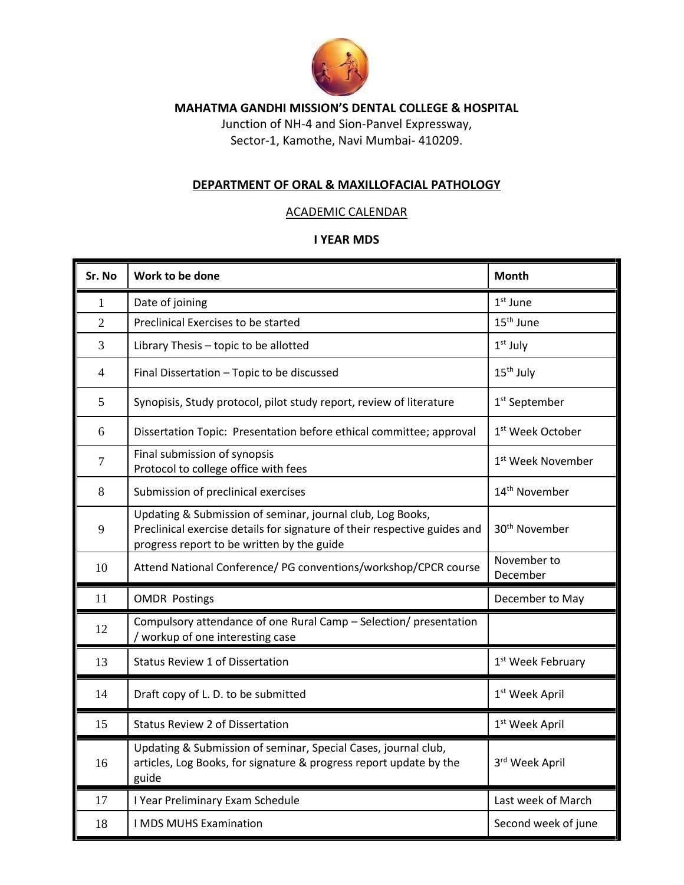

Junction of NH-4 and Sion-Panvel Expressway, Sector-1, Kamothe, Navi Mumbai- 410209.

#### **DEPARTMENT OF ORAL & MAXILLOFACIAL PATHOLOGY**

#### ACADEMIC CALENDAR

| Sr. No         | Work to be done                                                                                                                                                                       | <b>Month</b>                  |
|----------------|---------------------------------------------------------------------------------------------------------------------------------------------------------------------------------------|-------------------------------|
| 1              | Date of joining                                                                                                                                                                       | $1st$ June                    |
| $\overline{2}$ | Preclinical Exercises to be started                                                                                                                                                   | 15 <sup>th</sup> June         |
| 3              | Library Thesis - topic to be allotted                                                                                                                                                 | $1st$ July                    |
| $\overline{4}$ | Final Dissertation - Topic to be discussed                                                                                                                                            | 15 <sup>th</sup> July         |
| 5              | Synopisis, Study protocol, pilot study report, review of literature                                                                                                                   | 1 <sup>st</sup> September     |
| 6              | Dissertation Topic: Presentation before ethical committee; approval                                                                                                                   | 1 <sup>st</sup> Week October  |
| $\overline{7}$ | Final submission of synopsis<br>Protocol to college office with fees                                                                                                                  | 1 <sup>st</sup> Week November |
| 8              | Submission of preclinical exercises                                                                                                                                                   | 14 <sup>th</sup> November     |
| 9              | Updating & Submission of seminar, journal club, Log Books,<br>Preclinical exercise details for signature of their respective guides and<br>progress report to be written by the guide | 30 <sup>th</sup> November     |
| 10             | Attend National Conference/ PG conventions/workshop/CPCR course                                                                                                                       | November to<br>December       |
| 11             | <b>OMDR Postings</b>                                                                                                                                                                  | December to May               |
| 12             | Compulsory attendance of one Rural Camp - Selection/ presentation<br>/ workup of one interesting case                                                                                 |                               |
| 13             | <b>Status Review 1 of Dissertation</b>                                                                                                                                                | 1 <sup>st</sup> Week February |
| 14             | Draft copy of L. D. to be submitted                                                                                                                                                   | 1 <sup>st</sup> Week April    |
| 15             | <b>Status Review 2 of Dissertation</b>                                                                                                                                                | $1st$ Week April              |
| 16             | Updating & Submission of seminar, Special Cases, journal club,<br>articles, Log Books, for signature & progress report update by the<br>guide                                         | 3rd Week April                |
| 17             | I Year Preliminary Exam Schedule                                                                                                                                                      | Last week of March            |
| 18             | I MDS MUHS Examination                                                                                                                                                                | Second week of june           |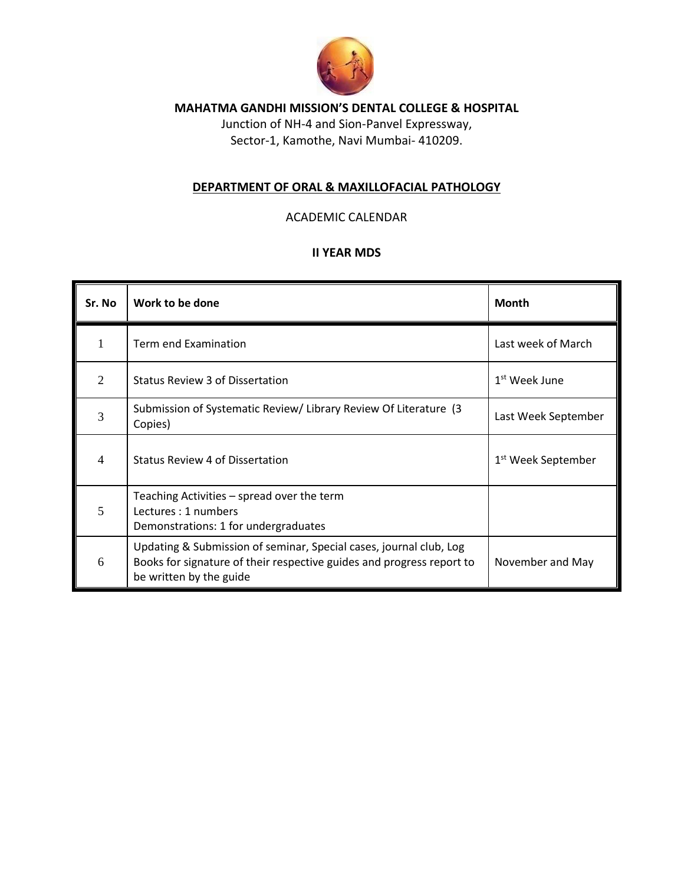

Junction of NH-4 and Sion-Panvel Expressway, Sector-1, Kamothe, Navi Mumbai- 410209.

#### **DEPARTMENT OF ORAL & MAXILLOFACIAL PATHOLOGY**

#### ACADEMIC CALENDAR

| Sr. No                      | Work to be done                                                                                                                                                        | <b>Month</b>                   |
|-----------------------------|------------------------------------------------------------------------------------------------------------------------------------------------------------------------|--------------------------------|
| 1                           | Term end Examination                                                                                                                                                   | Last week of March             |
| $\mathcal{D}_{\mathcal{L}}$ | <b>Status Review 3 of Dissertation</b>                                                                                                                                 | 1 <sup>st</sup> Week June      |
| 3                           | Submission of Systematic Review/ Library Review Of Literature (3)<br>Copies)                                                                                           | Last Week September            |
| $\overline{4}$              | Status Review 4 of Dissertation                                                                                                                                        | 1 <sup>st</sup> Week September |
| 5                           | Teaching Activities – spread over the term<br>Lectures : 1 numbers<br>Demonstrations: 1 for undergraduates                                                             |                                |
| 6                           | Updating & Submission of seminar, Special cases, journal club, Log<br>Books for signature of their respective guides and progress report to<br>be written by the guide | November and May               |